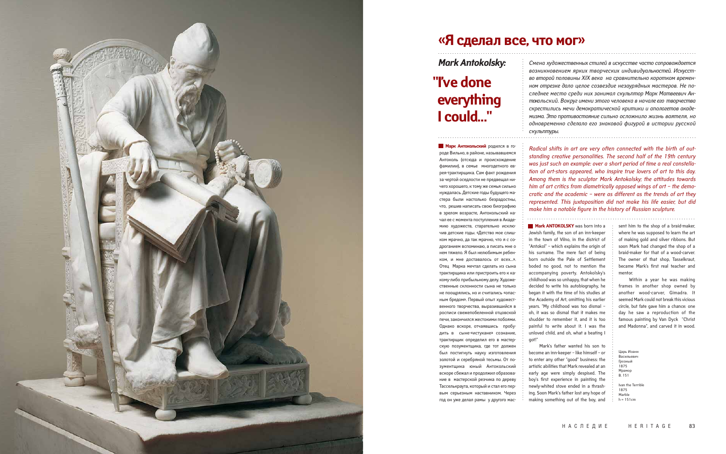Mark's father wanted his son to become an inn-keeper – like himself – or to enter any other "good" business: the artistic abilities that Mark revealed at an early age were simply despised. The boy's first experience in painting the newly-whited stove ended in a thrashing. Soon Mark's father lost any hope of making something out of the boy, and

роде Вильно, в районе, называвшемся Антоколь (отсюда и происхождение фамилии), в семье многодетного еврея-трактирщика. Сам факт рождения за чертой оседлости не предвещал ничего хорошего, к тому же семья сильно нуждалась. Детские годы будущего мастера были настолько безрадостны, что, решив написать свою биографию в зрелом возрасте, Антокольский начал ее с момента поступления в Академию художеств, старательно исключив детские годы. «Детство мое слишком мрачно, да так мрачно, что я с содроганием вспоминаю, а писать мне о нем тяжело. Я был нелюбимым ребенком, и мне доставалось от всех...». Отец Марка мечтал сделать из сына трактирщика или пристроить его к какому-либо прибыльному делу. Художественные склонности сына не только не поощрялись, но и считались «опасным бредом». Первый опыт художественного творчества, выразившийся в росписи свежепобеленной отцовской печи, закончился жестокими побоями. Однако вскоре, отчаявшись пробудить в сыне-«истукане» сознание, трактирщик определил его в мастерскую позументщика, где тот должен был постигнуть науку изготовления золотой и серебряной тесьмы. От позументщика юный Антокольский вскоре сбежал и продолжил образование в мастерской резчика по дереву Тасселькраута, который и стал его первым серьезным наставником. Через

1875 Marble  $h = 151cm$ 

год он уже делал рамы у другого мас-

1000年10月11日,1000年10月12日,1000年10月12日,1000年10月12日,1000年10月12日,1000年10月12日,1000年10月12日,1000年10月12日,1000年10月12日,10

*Смена художественных стилей в искусстве часто сопровождается возникновением ярких творческих индивидуальностей. Искусство второй половины ХIХ века на сравнительно коротком временном отрезке дало целое созвездие незаурядных мастеров. Не последнее место среди них занимал скульптор Марк Матвеевич Антокольский. Вокруг имени этого человека в начале его творчества скрестились мечи демократической критики и апологетов академизма. Это противостояние сильно осложнило жизнь ваятеля, но одновременно сделало его знаковой фигурой в истории русской скульптуры.* 

*Radical shifts in art are very often connected with the birth of outstanding creative personalities. The second half of the 19th century was just such an example: over a short period of time a real constellation of art-stars appeared, who inspire true lovers of art to this day. Among them is the sculptor Mark Antokolsky; the attitudes towards him of art critics from diametrically opposed wings of art – the democratic and the academic – were as different as the trends of art they represented. This juxtaposition did not make his life easier, but did make him a notable figure in the history of Russian sculpture.*

## **«Я сделал все, что мог»**



*Mark Antokolsky:* 

Царь Иоанн Васильевич Грозный 1875 Мрамор В. 151 Ivan the Terrible

# **"I've done everything I could…"**

**Марк Антокольский** родился в го-

. . . . . . . . . . . . . . . . . . . . . . . . . . . . . . . . . . . . . . . . . . . . . . . . . . . . . . . . . . . . . . . . . . . . . . . . . . . . . . . . . . . . . . . . . . . . . . . . . . . . . . . . . . . . .

. . . . . . . . . . . . . . . . . . . . . . . . . . . . . . . . . . . . . . . . . . . . . . . . . . . . . . . . . . . . . . . . . . . . . . .

**Mark ANTOKOLSKY** was born into a Jewish family, the son of an inn-keeper in the town of Vilno, in the district of "Antokol" – which explains the origin of his surname. The mere fact of being born outside the Pale of Settlement boded no good, not to mention the accompanying poverty. Antokolsky's childhood was so unhappy, that when he decided to write his autobiography, he began it with the time of his studies at the Academy of Art, omitting his earlier years. "My childhood was too dismal – oh, it was so dismal that it makes me shudder to remember it, and it is too painful to write about it. I was the unloved child, and oh, what a beating I got!" **Example 1.** Solution and the discussion of the minimum of the simple and inherence the was supposed to explains the origin of the communication of the district of the communication of the enere fact of being the communic

sent him to the shop of a braid-maker, where he was supposed to learn the art of making gold and silver ribbons. But soon Mark had changed the shop of a braid-maker for that of a wood-carver. The owner of that shop, Tasselkraut, became Mark's first real teacher and mentor.

Within a year he was making frames in another shop owned by another wood-carver, Gimadra. It seemed Mark could not break this vicious circle, but fate gave him a chance: one day he saw a reproduction of the famous painting by Van Dyck "Christ and Madonna", and carved it in wood.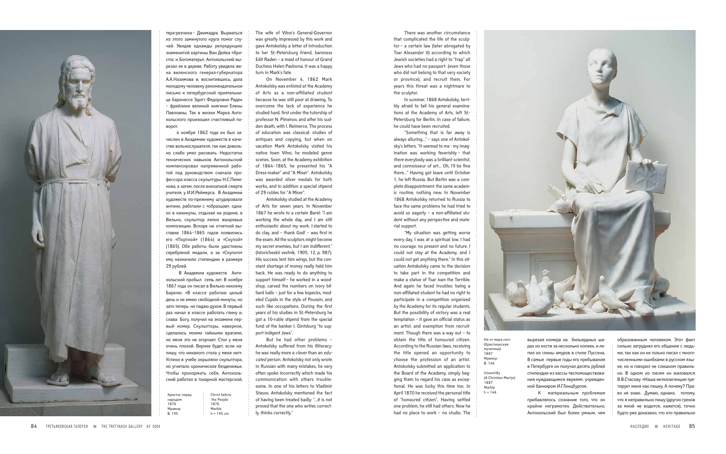There was another circumstance that complicated the life of the sculptor – a certain law (later abrogated by Tsar Alexander II) according to which Jewish societies had a right to "trap" all Jews who had no passport (even those who did not belong to that very society or province), and recruit them. For years this threat was a nightmare to the sculptor.

In summer, 1868 Antokolsky, terribly afraid to fail his general examinations at the Academy of Arts, left St.- Petersburg for Berlin. In case of failure, he could have been recruited.

"Something that is far away is always alluring…" – says one of Antokolsky's letters. "It seemed to me - my imagination was working feverishly – that *there* everybody was a brilliant scientist, and connoisseur of art… Oh, I'll be fine there…" Having got leave until October 1, he left Russia. But Berlin was a complete disappointment: the same academic routine, nothing new. In November 1868 Antokolsky returned to Russia to face the same problems he had tried to avoid so eagerly – a non-affiliated student without any perspective and material support.

"My situation was getting worse every day, I was at a spiritual low, I had no courage: no present and no future. I could not stay at the Academy, and I could not get anything there." In this situation Antokolsky came to the decision to take part in the competition and make a statue of Tsar Ivan the Terrible. And again he faced troubles: being a non-affiliated student he had no right to participate in a competition organized by the Academy for its regular students. But the possibility of victory was a real temptation – it gave an official status as an artist, and exemption from recruitment. Though there was a way out – to obtain the title of honoured citizen. According to the Russian laws, receiving the title opened an opportunity to choose the profession of an artist. Antokolsky submitted an application to the Board of the Academy, simply begging them to regard his case as exceptional. He was lucky this time too. In April 1870 he received the personal title of "honoured citizen". Having settled one problem, he still had others. Now he had no place to work – no studio. The



вырезая номера на бильярдных шарах из кости за несколько копеек, и лепил из глины амуров в стиле Пуссена. В самые первые годы его пребывания в Петербурге он получал десять рублей стипендии из кассы «вспомоществования нуждающимся евреям», учрежденной банкиром И.Г.Гинцбургом.

К материальным проблемам прибавлялось сознание того, что он крайне неграмотен. Действительно, Антокольский был более умным, чем образованным человеком. Этот факт сильно затруднял его общение с людьми, так как он не только писал с многочисленными ошибками в русском языке, но и говорил не слишком правильно. В одном из писем он жаловался В.В.Стасову: «Наша интеллигенция третирует меня как пешку. А почему? Право не знаю. Думаю, однако, потому, что я неправильно пишу (других грехов за мной не водится, кажется), точно будто уже доказано, что кто правильно



тера-резчика – Джимадра. Вырваться из этого замкнутого круга помог случай. Увидев однажды репродукцию знаменитой картины Ван Дейка «Христос и Богоматерь», Антокольский вырезал ее в дереве. Работу увидела жена виленского генерал-губернатора А.А.Назимова и, восхитившись, дала молодому человеку рекомендательное письмо к петербургской приятельнице баронессе Эдитт Федоровне Раден – фрейлине великой княгини Елены Павловны. Так в жизни Марка Антокольского произошел счастливый поворот.

4 ноября 1862 года он был зачислен в Академию художеств в качестве вольнослушателя, так как довольно слабо умел рисовать. Недостаток технических навыков Антокольский компенсировал напряженной работой под руководством сначала профессора класса скульптуры Н.С.Пименова, а затем, после внезапной смерти учителя, у И.И.Реймерса. В Академии художеств по-прежнему штудировали антики, работали с «образцов», однако в каникулы, отдыхая на родине, в Вильно, скульптор лепил жанровые композиции. Вскоре на отчетной выставке 1864–1865 годов появились его «Портной» (1864) и «Скупой» (1865). Обе работы были удостоены серебряной медали, а за «Скупого» ему назначили стипендию в размере 29 рублей.

> Unworldly (A Christian Martyr) 1887 Marble  $h = 146$

В Академии художеств Антокольский пробыл семь лет. В ноябре 1867 года он писал в Вильно некоему Барелю: «В классе работаю целый день и не имею свободной минуты, но зато теперь не падаю духом. В первый раз начал в классе работать глину и, слава Богу, получил на экзамене первый номер. Скульпторы, наверное, сделались моими тайными врагами, но меня это не огорчает. Стол у меня очень плохой. Вернее будет, если напишу, что никакого стола у меня нет». Успехи в учебе окрыляли скульптора, но угнетало хроническое безденежье. Чтобы прокормить себя, Антокольский работал в токарной мастерской,

The wife of Vilno's General-Governor was greatly impressed by this work and gave Antokolsky a letter of introduction to her St.-Petersburg friend, baroness Edit Raden – a maid of honour of Grand Duchess Helen Pavlovna. It was a happy turn in Mark's fate.

On November 4, 1862 Mark Antokolsky was enlisted at the Academy of Arts as a non-affiliated student because he was still poor at drawing. To overcome the lack of experience he studied hard, first under the tutorship of professor N. Pimenov, and after his sudden death, with I. Reimerce. The process of education was classical: studies of antiques and copying, but when on vacation Mark Antokolsky visited his native town Vilno, he modeled genre scenes. Soon, at the Academy exhibition of 1864–1865, he presented his "A Dress-maker" and "A Miser". Antokolsky was awarded silver medals for both works, and in addition a special stipend of 29 rubles for "A Miser".

Antokolsky studied at the Academy of Arts for seven years. In November 1867 he wrote to a certain Barel: "I am working the whole day, and I am still enthusiastic about my work. I started to do clay, and – thank God! – was first in the exam. All the sculptors might become my secret enemies, but I am indifferent." (Istoricheskii vestnik, 1905, 12, p. 987). His success lent him wings, but the constant shortage of money really held him back. He was ready to do anything to support himself – he worked in a woodshop, carved the numbers on ivory billiard balls – just for a few kopecks, modeled Cupids in the style of Poussin, and such like occupations. During the first years of his studies in St.-Petersburg he got a 10-ruble stipend from the special fund of the banker I. Gintsburg "to support indigent Jews".

But he had other problems – Antokolsky suffered from his illiteracy: he was really more a *clever* than an *educated* person. Antokolsky not only wrote in Russian with many mistakes, he very often spoke incorrectly which made his communication with others troublesome. In one of his letters to Vladimir Stasov, Antokolsky mentioned the fact of having been treated badly: "…it is not proved that the one who writes correctly, thinks correctly."

. . . . . . . . . . . . . . . . . . . . . . . . . . . . . . . . . . . . . . . . . . . . . . . . . . . . . . . . . . . . . . . . . . . . . . . . . . . . . . . . . . . . . . . . . . . . . . . . . . . . . . . . . . . . . . . . . . . . . . . . . . . . . . . . . . . . . . . . . . . . . . . . . . . . . . . . . . . . . . . . . . .

1000年10月,1000年10月,1000年10月,1000年10月,1000年10月,1000年10月,1000年10月,1000年10月,1000年10月,1000年10月,1000年10月,1000年10月,1000年10月,1000年10月,1000年10月,1000年10月,1000年10月,1000年10月,1000年10月,1000年10月,1000年

. . . . . . . . . . . . . . . . . . . . . . . . . . . . . .

| Христос перед | ٠<br>٠ | Christ before |
|---------------|--------|---------------|
| народом       | ٠<br>٠ | the People    |
| 1876          | ٠<br>٠ | 1876          |
| Мрамор        | ٠<br>٠ | Marble        |
| B. 195        | ٠      | $h = 195$ cm  |

Не от мира сего (Христианская мученица) 1887 Мрамор В. 146

1000年10月11日,1000年10月12日,1000年10月12日,1000年10月12日,1000年10月12日,1000年10月12日,1000年10月12日,1000年10月12日,1000年10月12日,10<br>1000年10月12日,1000年10月12日,1000年10月12日,1000年10月12日,1000年10月12日,1000年10月12日,1000年10月12日,1000年10月12日,1000年10月12日,10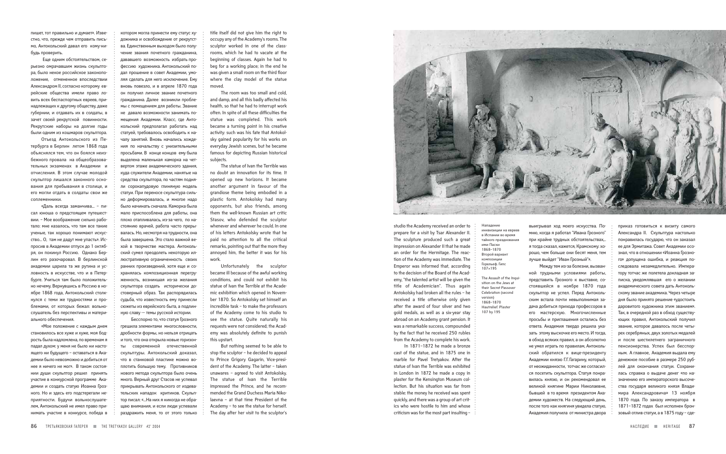выигрывал ход моего искусства. Помню, когда я работал "Ивана Грозного" при крайне трудных обстоятельствах,.. я тогда сказал, кажется, Крамскому: хорошо, чем больше они бесят меня, тем лучше выйдет "Иван Грозный"».

Между тем из-за болезни, вызванной трудными условиями работы, представить Грозного к выставке, состоявшейся в ноябре 1870 года скульптор не успел. Перед Антокольским встала почти невыполнимая задача добиться прихода профессоров в его мастерскую. Многочисленные просьбы и приглашения остались без ответа. Академия твердо решила указать этому выскочке его место. И тогда, в обход всяких правил, а он абсолютно не умел играть по правилам, Антокольский обратился к вице-президенту Академии князю Г.Г.Гагарину, который, от неожиданности, тотчас же согласился посетить скульптора. Статуя понравилась князю, и он рекомендовал ее великой княгине Марии Николаевне, бывшей в то время президентом Академии художеств. На следующий день, после того как княгиня увидела статую, Академия получила от министра двора приказ готовиться к визиту самого Александра II. Скульптура настолько понравилась государю, что он заказал ее для Эрмитажа. Совет Академии осознал, что в отношении «Иоанна Грозного» допущена ошибка, и реакция последовала незамедлительно. Императору тотчас же полетела докладная записка, уведомлявшая его о желании академического совета дать Антокольскому звание академика. Через четыре дня было принято решение «удостоить даровитого художника этим званием». Так, в очередной раз в обход существующих правил, Антокольский получил звание, которое давалось после четырех серебряных, двух золотых медалей и после шестилетнего заграничного пенсионерства. Успех был бесспорным. А главное, Академия выдала ему денежное пособие в размере 250 рублей для окончания статуи. Сохранилась справка о выдаче денег «по назначению его императорского высочества государя великого князя Владимира Александровича» 13 ноября 1870 года. По заказу императора в 1871–1872 годах был исполнен бронзовый отлив статуи, а в 1875 году – сде-

studio the Academy received an order to prepare for a visit by Tsar Alexander II. The sculpture produced such a great impression on Alexander II that he made an order for the Hermitage. The reaction of the Academy was immediate. The Emperor was informed that, according to the decision of the Board of the Academy, "the talented artist will be given the title of Academician". Thus again Antokolsky had broken all the rules – he received a title otherwise only given after the award of four silver and two gold medals, as well as a six-year stay abroad on an Academy grant pension. It was a remarkable success, compounded by the fact that he received 250 rubles from the Academy to complete his work.

In 1871–1872 he made a bronze cast of the statue, and in 1875 one in marble for Pavel Tretyakov. After the statue of Ivan the Terrible was exhibited in London in 1872 he made a copy in plaster for the Kensington Museum collection. But his situation was far from stable: the money he received was spent quickly, and there was a group of art critics who were hostile to him and whose criticism was for the most part insulting –

пишет, тот правильно и думает». Известно, что, прежде чем отправить письмо, Антокольский давал его кому-нибудь проверить.

Еще одним обстоятельством, серьезно омрачавшим жизнь скульптора, было некое российское законоположение, отмененное впоследствии Александром II, согласно которому еврейские общества имели право ловить всех беспаспортных евреев, принадлежащих к другому обществу, даже губернии, и отдавать их в солдаты, в зачет своей рекрутской повинности. Рекрутские наборы на долгие годы были одним из кошмаров скульптора.

Отъезд Антокольского из Петербурга в Берлин летом 1868 года объяснялся тем, что он боялся неизбежного провала на общеобразовательных экзаменах в Академии и отчисления. В этом случае молодой скульптор лишался законного основания для пребывания в столице, и его могли отдать в солдаты свои же соплеменники.

«Даль всегда заманчива... – писал юноша о предстоящем путешествии. – Мое воображение сильно работало: мне казалось, что там все такие ученые, так хорошо понимают искусство... О, там не дадут мне упасть». Испросив в Академии отпуск до 1 октября, он покинул Россию. Однако Берлин его разочаровал. В берлинской академии царила та же рутина и условность в искусстве, что и в Петербурге. Учиться там было положительно нечему. Вернувшись в Россию в ноябре 1868 года, Антокольский столкнулся с теми же трудностями и проблемами, от которых бежал: вольнослушатель без перспективы и материального обеспечения.

«Мое положение с каждым днем становилось все хуже и хуже, моя бодрость была надломлена, по временам я падал духом: у меня не было ни настоящего ни будущего – оставаться в Академии было невозможно и добиться от нее я ничего не мог». В таком состоянии души скульптор решил принять участие в конкурсной программе Академии и создать статую Иоанна Грозного. Но и здесь его подстерегали неприятности. Будучи вольнослушателем, Антокольский не имел право принимать участие в конкурсе, победа в title itself did not give him the right to occupy any of the Academy's rooms. The sculptor worked in one of the classrooms, which he had to vacate at the beginning of classes. Again he had to beg for a working place; in the end he was given a small room on the third floor where the clay model of the statue moved.

The room was too small and cold, and damp, and all this badly affected his health, so that he had to interrupt work often. In spite of all these difficulties the statue was completed. This work became a turning point in his creative activity: such was his fate that Antokolsky gained popularity for his works on everyday Jewish scenes, but he became famous for depicting Russian historical subjects.

The statue of Ivan the Terrible was no doubt an innovation for its time. It opened up new horizons. It became another argument in favour of the grandiose theme being embodied in a plastic form. Antokolsky had many opponents, but also friends, among them the well-known Russian art critic Stasov, who defended the sculptor whenever and wherever he could. In one of his letters Antokolsky wrote that he paid no attention to all the critical remarks, pointing out that the more they annoyed him, the better it was for his work.

Unfortunately the sculptor became ill because of the awful working conditions, and could not exhibit his statue of Ivan the Terrible at the Academic exhibition which opened in November 1870. So Antokolsky set himself an incredible task – to make the professors of the Academy come to his studio to see the statue. Quite naturally his requests were not considered; the Academy was absolutely definite to punish this upstart.

But nothing seemed to be able to stop the sculptor – he decided to appeal to Prince Grigory Gagarin, Vice-president of the Academy. The latter – taken unawares – agreed to visit Antokolsky. The statue of Ivan the Terrible impressed the Prince, and he recommended the Grand Duchess Maria Nikolaevna – at that time President of the Academy – to see the statue for herself. The day after her visit to the sculptor's



котором могла принести ему статус ху-

дожника и освобождение от рекрутства. Единственным выходом было получение звания почетного гражданина, дававшего возможность избрать профессию художника. Антокольский подал прошение в совет Академии, умоляя сделать для него исключение. Ему вновь повезло, и в апреле 1870 года он получил личное звание почетного гражданина. Далее возникли проблемы с помещением для работы. Звание не давало возможности занимать помещения Академии. Класс, где Антокольский предполагал работать над статуей, требовалось освободить к началу занятий. Вновь начались хождения по начальству с унизительными просьбами. В конце концов ему была выделена маленькая каморка на четвертом этаже академического здания, куда служители Академии, нанятые на средства скульптора, по частям подняли сорокапудовую глиняную модель статуи. При переносе скульптура сильно деформировалась, и многое надо было начинать сначала. Каморка была мало приспособлена для работы, она плохо отапливалась, из-за чего, по настоянию врачей, работа часто прерывалась. Но, несмотря на трудности, она была завершена. Это стало важной вехой в творчестве мастера. Антокольский сумел преодолеть некоторую иллюстративную ограниченность своих ранних произведений, хотя еще и сохранялась композиционная перегруженность, возникшая из-за желания скульптора создать исторически достоверный образ. Так распорядилась судьба, что известность ему принесли сюжеты из еврейского быта, а подлинную славу -– темы русской истории.

1000年10月,1000年10月,1000年10月,1000年10月,1000年10月,1000年10月,1000年10月,1000年10月,1000年10月,1000年10月,1000年10月,1000年10月,1000年10月,1000年10月,1000年10月,1000年10月,1000年10月,1000年10月,1000年10月,1000年10月,1000年

Бесспорно то, что статуя Грозного грешила элементами многословности, дробности формы, но нельзя отрицать и того, что она открыла новые горизонты современной отечественной скульптуры. Антокольский доказал, что в станковой пластике можно воплотить большую тему. Противников нового метода скульптора было очень много. Верный друг Стасов не успевал прикрывать Антокольского от издевательских нападок критиков. Скульптор писал: «...На них я никогда не обращаю внимания, и если люди успевали раздражить меня, то от этого только

. . . . . . . . . . . . . . . . . . . . . . . . . . . . . . . . . . . . . . . . . . . . . . . . . . . . . . . . . . . . . . . . . . . . . . . . . . . . . . . . . . . . . . . . . . . . . . . . . . . . . . . . . . . . . . . . . . . . . . . . . . . . . . . . . . . . . . . . . . . . . . . . . . . . . . . . . . . . . . . . . .

. . . . . . . . . . . . . . . . . . . . . . . . . . . . . . . . . . . . . . . . . . . . . . . . . . . . . . . . . . . . . . . . . . . . . . . . . . . . . . . .

. . . . . . . . . . . . . . . . . . . . . . . . . . . . . . . . . . . . . . . . . . . . . . . . . . . . . . . . . . . . . . . . . . . . . . . . . . . . . . . . .

### Нападение

инквизиции на евреев в Испании во время тайного празднования ими Пасхи 1868–1870 Второй вариант композиции Горельеф. Гипс 107 ×195

The Assault of the Inquisition on the Jews at their Secret Passover Celebration (second version) 1868–1870 Hautrelief. Plaster 107 by 195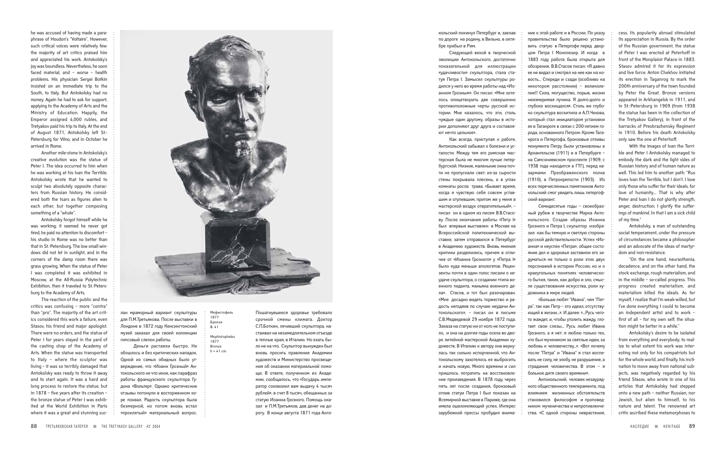he was accused of having made a paraphrase of Houdon's "Voltaire". However, such critical voices were relatively few: the majority of art critics praised him and appreciated his work. Antokolsky's joy was boundless. Nevertheless, he soon faced material, and – worse – health problems. His physician Sergei Botkin insisted on an immediate trip to the South, to Italy. But Antokolsky had no money. Again he had to ask for support, applying to the Academy of Arts and the Ministry of Education. Happily, the Emperor assigned 4,000 rubles, and Tretyakov paid his trip to Italy. At the end of August 1871, Antokolsky left St.-Petersburg for Vilno, and in October he arrived in Rome.

Another mile-stone in Antokolsky's creative evolution was the statue of Peter I. The idea occurred to him when he was working at his Ivan the Terrible. Antokolsky wrote that he wanted to sculpt two absolutely opposite characters from Russian history. He considered both the tsars as figures alien to each other, but together composing something of a "whole".

Antokolsky forgot himself while he was working; it seemed he never got tired, he paid no attention to discomfort – his studio in Rome was no better than that in St.-Petersburg. The low small windows did not let in sunlight, and in the corners of the damp room there was grass growing. When the statue of Peter I was completed it was exhibited in Moscow, at the All-Russia Polytechnic Exhibition, then it traveled to St.-Petersburg to the Academy of Arts.

The reaction of the public and the critics was confusing - more "contra' than "pro". The majority of the art critics considered this work a failure, even Stasov, his friend and major apologist. There were no orders, and the statue of Peter I for years stayed in the yard of the casting shop of the Academy of Arts. When the statue was transported to Italy – where the sculptor was living – it was so terribly damaged that Antokolsky was ready to throw it away and to start again. It was a hard and long process to restore the statue, but in 1878 – five years after its creation – the bronze statue of Peter I was exhibited at the World Exhibition in Paris where it was a great and stunning suc-



лан мраморный вариант скульптуры для П.М.Третьякова. После выставки в Лондоне в 1872 году Кенсингтонский музей заказал для своей коллекции гипсовый слепок работы.

Деньги растаяли быстро. Не обошлось и без критических нападок. Одной из самых обидных было утверждение, что «Иоанн Грозный» Антокольского не что иное, как парафраз работы французского скульптора Гудона «Вольтер». Однако критические отзывы потонули в восторженном хоре похвал. Радость скульптора была безмерной, но потом вновь встал «проклятый» материальный вопрос.

Пошатнувшееся здоровье требовало срочной смены климата. Доктор С.П.Боткин, лечивший скульптора, настаивал на незамедлительном отъезде в теплые края, в Италию. Но ехать было не на что. Скульптор вынужден был вновь просить правление Академии художеств и Министерство просвещения об оказании материальной помощи. В ответе, полученном из Академии, сообщалось, что «Государь император соизволил вам выдачу 4 тысяч рублей», в счет 8 тысяч, обещанных за статую Иоанна Грозного. Помощь оказал и П.М.Третьяков, дав денег на дорогу. В конце августа 1871 года Антокольский покинул Петербург и, заехав по дороге на родину, в Вильно, в октябре прибыл в Рим.

Следующей вехой в творческой

1000年10月11日,1000年10月12日,1000年10月12日,1000年10月12日,1000年10月12日,1000年10月12日,1000年10月12日,1000年10月12日,1000年10月12日,10<br>1000年10月12日,1000年10月12日,1000年10月12日,1000年10月12日,1000年10月12日,1000年10月12日,1000年10月12日,1000年10月12日,1000年10月12日,10

эволюции Антокольского, достаточно показательной для иллюстрации «удачливости» скульптора, стала статуя Петра I. Замысел скульптуры родился у него во время работы над «Иоанном Грозным». Он писал: «Мне хотелось олицетворить две совершенно противоположные черты русской истории. Мне казалось, что эти, столь чуждые один другому, образы в истории дополняют друг друга и составляют нечто цельное».

Как всегда, приступая к работе, Антокольский забывал о болезни и усталости. Между тем его римская мастерская была не многим лучше петербургской. Низкие, маленькие окна почти не пропускали свет: из-за сырости стены покрывала плесень, а в углах комнаты росла трава. «Бывает время, когда я чувствую себя совсем уставшим и отупевшим, притом же у меня в мастерской воздух отвратительный», – писал он в одном из писем В.В.Стасову. После окончания работы «Петр I» был впервые выставлен в Москве на Всероссийской политехнической выставке, затем отправился в Петербург в Академию художеств. Вновь мнения критики разделились, причем в отличие от «Иоанна Грозного» у «Петра I» было куда меньше апологетов. Рецензенты почти в один голос писали о неудаче скульптора, о создании «типа военного педанта, маньяка военного дела». Стасов, и тот был разочарован. «Мне досадно видеть торжество и радость негодяев по случаю неудачи Антокольского», – писал он в письме С.В.Медведевой 29 ноября 1872 года. Заказа на статую ни от кого не поступило, и она на долгие годы осела во дворе литейной мастерской Академии художеств. В Италию к автору она вернулась так сильно испорченной, что Антокольскому захотелось ее выбросить и начать новую. Много времени и сил пришлось потратить на восстановление произведения. В 1878 году, через пять лет после создания, бронзовый отлив статуи Петра I был показан на Всемирной выставке в Париже, где она имела ошеломляющий успех. Интерес зарубежной прессы пробудил внима-

Mephistopheles 1877 Bronze  $h = 41$  cm

ние к этой работе и в России. По указу правительства было решено установить статую в Петергофе перед дворцом Петра I Монплезир. И когда в 1883 году работа была открыта для обозрения, В.В.Стасов писал: «Я давно ее не видал и смотрел на нее как на новость... Спереди и сзади (особливо на некотором расстоянии) – великолепие!! Сила, могущество, порыв, жизни неизмеримая пучина. Я долго-долго и глубоко восхищался». Столь же глубоко скульптура восхитила и А.П.Чехова, который стал инициатором установки ее в Таганроге в связи с 200-летием города, основанного Петром. Кроме Таганрога и Петергофа, бронзовые отливы монумента Петру были установлены в Архангельске (1911) и в Петербурге – на Самсониевском проспекте (1909; с 1938 года находится в ГТГ), перед казармами Преображенского полка (1910), в Петрокрепости (1903). Из всех перечисленных памятников Антокольский смог увидеть лишь петергофский вариант.

Семидесятые годы – своеобразный рубеж в творчестве Марка Антокольского. Создав образы Иоанна Грозного и Петра I, скульптор изобразил как бы темную и светлую стороны русской действительности. Успех «Иоанна» и неуспех «Петра», общее состояние дел и здоровья заставили его задуматься не только о роли этих двух персонажей в истории России, но и о краеугольных понятиях человеческого бытия, таких, как добро и зло, смысле существования искусства, роли художника в мире людей.

«Больше любят "Ивана", чем "Петра", так как Петр – это идеал, отсутствующий в жизни...». И далее: «...Русь чегото жаждет, и, чтобы утолить жажду, глотает свои слезы... Русь любит Ивана Грозного, а я нет: я люблю только тех, кто был мучеником за светлые идеи, за любовь к человечеству...». «Вот почему после "Петра" и "Ивана" я стал воспевать не силу, не злобу, не разрушение, а страдания человечества. В этом – я больное дитя своего времени».

Антокольский, человек незаурядного общественного темперамента, под влиянием жизненных обстоятельств становился философом и проповедником мученичества и непротивленчества. «С одной стороны неврастения, cess. Its popularity abroad stimulated its appreciation in Russia. By the order of the Russian government, the statue of Peter I was erected at Peterhoff in front of the Monplaisir Palace in 1883. Stasov admired it for its expression and live force. Anton Chekhov initiated its erection in Taganrog to mark the 200th anniversary of the town founded by Peter the Great. Bronze versions appeared in Arkhangelsk in 1911, and in St.-Petersburg in 1909 (from 1938 the statue has been in the collection of the Tretyakov Gallery), in front of the barracks of Preobrazhensky Regiment in 1910. Before his death Antokolsky only saw the one at Peterhoff.

With the images of Ivan the Terrible and Peter I Antokolsky managed to embody the dark and the light sides of Russian history and of human nature as well. This led him to another path: "Rus loves Ivan the Terrible, but I don't. I love only those who suffer for their ideals, for love of humanity… That is why after Peter and Ivan I do not glorify strength, anger, destruction; I glorify the sufferings of mankind. In that I am a sick child of my time."

Antokolsky, a man of outstanding social temperament, under the pressure of circumstances became a philosopher and an advocate of the ideas of martyrdom and non-resistance.

1000年10月11日,1000年10月12日,1000年10月12日,1000年10月12日,1000年10月12日,1000年10月12日,1000年10月12日,1000年10月12日,1000年10月12日,10<br>1000年10月12日,1000年10月12日,1000年10月12日,1000年10月12日,1000年10月12日,1000年10月12日,1000年10月12日,1000年10月12日,1000年10月12日,10

"On the one hand, neurasthenia, decadence, and on the other hand, the stock exchange, rough materialism, and in the middle – so-called progress. This progress created materialism, and materialism killed the ideals. As for myself, I realize that I'm weak-willed, but I've done everything I could to become an independent artist and to work – first of all – for my own self; the situation might be better in a while."

Antokolsky's desire to be isolated from everything and everybody; to realize to what extent his work was interesting not only for his compatriots but for the whole world, and finally, his inclination to move away from national subjects, was negatively regarded by his friend Stasov, who wrote in one of his articles that Antokolsky had stepped onto a new path – neither Russian, nor Jewish, but alien to himself, to his nature and talent. The renowned art critic ascribed these metamorphoses to

. . . . . . . . . . . . . . . . . . . . . . . . . . . . . . . . . . . . . . . . . . . . . . . . . . . . . . . . . . . . . . . .

. . . . . . . . . . . . . . . . . . . . . . . . . . . . . . . . . . . . . . . . . . . . . . . . . . . . . . . . . . . . . . . . . . . . . . . . . . . . . . . . . . . . . . . . . . . . . . . . . .

. . . . . . . . . . . . . . . . . . . . . . . . . . . . . . . . . . . . . . . . . . . . .

Мефистофель 1877 Бронза В. 41